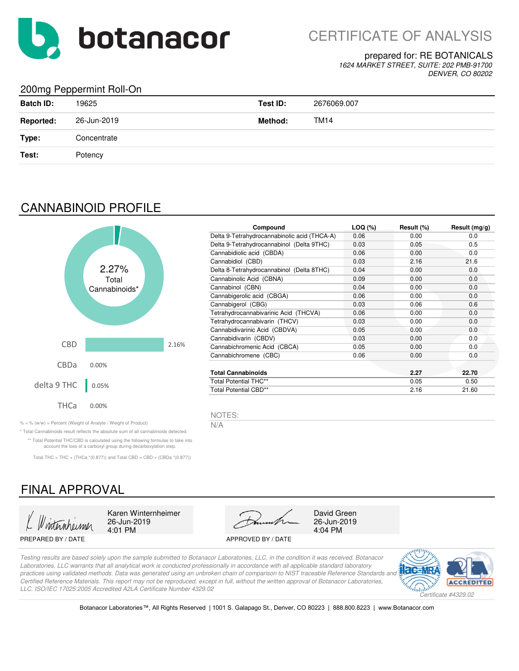

### prepared for: RE BOTANICALS

*1624 MARKET STREET, SUITE: 202 PMB-91700 DENVER, CO 80202*

## 200mg Peppermint Roll-On

| $\sim$ $\sim$ $\sim$ $\sim$ $\sim$ $\sim$ |             |          |             |
|-------------------------------------------|-------------|----------|-------------|
| <b>Batch ID:</b>                          | 19625       | Test ID: | 2676069.007 |
| <b>Reported:</b>                          | 26-Jun-2019 | Method:  | <b>TM14</b> |
| Type:                                     | Concentrate |          |             |
| Test:                                     | Potency     |          |             |
|                                           |             |          |             |

## CANNABINOID PROFILE



| Compound                                     | $LOQ (\%)$ | Result (%) | Result $(mg/g)$ |
|----------------------------------------------|------------|------------|-----------------|
| Delta 9-Tetrahydrocannabinolic acid (THCA-A) | 0.06       | 0.00       | 0.0             |
| Delta 9-Tetrahydrocannabinol (Delta 9THC)    | 0.03       | 0.05       | 0.5             |
| Cannabidiolic acid (CBDA)                    | 0.06       | 0.00       | 0.0             |
| Cannabidiol (CBD)                            | 0.03       | 2.16       | 21.6            |
| Delta 8-Tetrahydrocannabinol (Delta 8THC)    | 0.04       | 0.00       | 0.0             |
| Cannabinolic Acid (CBNA)                     | 0.09       | 0.00       | 0.0             |
| Cannabinol (CBN)                             | 0.04       | 0.00       | 0.0             |
| Cannabigerolic acid (CBGA)                   | 0.06       | 0.00       | 0.0             |
| Cannabigerol (CBG)                           | 0.03       | 0.06       | 0.6             |
| Tetrahydrocannabivarinic Acid (THCVA)        | 0.06       | 0.00       | 0.0             |
| Tetrahydrocannabivarin (THCV)                | 0.03       | 0.00       | 0.0             |
| Cannabidivarinic Acid (CBDVA)                | 0.05       | 0.00       | 0.0             |
| Cannabidivarin (CBDV)                        | 0.03       | 0.00       | 0.0             |
| Cannabichromenic Acid (CBCA)                 | 0.05       | 0.00       | 0.0             |
| Cannabichromene (CBC)                        | 0.06       | 0.00       | 0.0             |
| <b>Total Cannabinoids</b>                    |            | 2.27       | 22.70           |
| <b>Total Potential THC**</b>                 |            | 0.05       | 0.50            |
| <b>Total Potential CBD**</b>                 |            | 2.16       | 21.60           |

NOTES:

% = % (w/w) = Percent (Weight of Analyte / Weight of Product)  $N/A$ 

\* Total Cannabinoids result reflects the absolute sum of all cannabinoids detected. \*\* Total Potential THC/CBD is calculated using the following formulas to take into account the loss of a carboxyl group during decarboxylation step.

Total THC = THC + (THCa  $*(0.877)$ ) and Total CBD = CBD + (CBDa  $*(0.877)$ )

# FINAL APPROVAL

4:01 PM 26-Jun-2019

PREPARED BY / DATE APPROVED BY / DATE



26-Jun-2019<br>4:04 PM

*Testing results are based solely upon the sample submitted to Botanacor Laboratories, LLC, in the condition it was received. Botanacor Laboratories, LLC warrants that all analytical work is conducted professionally in accordance with all applicable standard laboratory practices using validated methods. Data was generated using an unbroken chain of comparison to NIST traceable Reference Standards and Certified Reference Materials. This report may not be reproduced, except in full, without the written approval of Botanacor Laboratories, LLC. ISO/IEC 17025:2005 Accredited A2LA Certificate Number 4329.02*



Botanacor Laboratories™, All Rights Reserved | 1001 S. Galapago St., Denver, CO 80223 | 888.800.8223 | www.Botanacor.com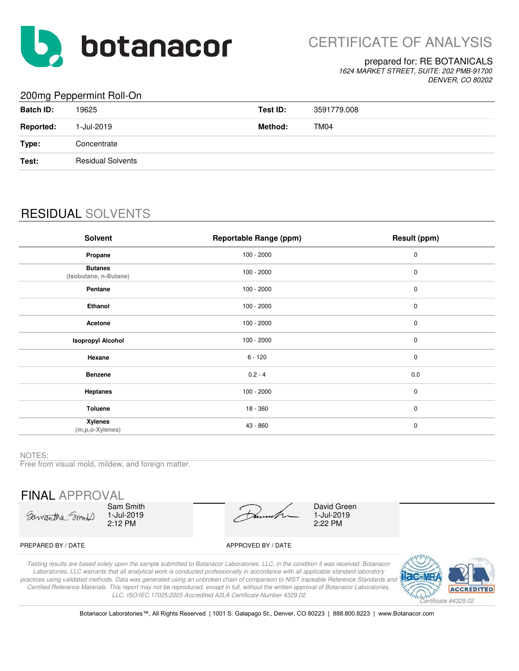

CERTIFICATE OF ANALYSIS

### prepared for: RE BOTANICALS

*1624 MARKET STREET, SUITE: 202 PMB-91700 DENVER, CO 80202*

## 200mg Peppermint Roll-On

| <b>Batch ID:</b> | 19625                    | Test ID: | 3591779.008 |
|------------------|--------------------------|----------|-------------|
| <b>Reported:</b> | 1-Jul-2019               | Method:  | TM04        |
| Type:            | Concentrate              |          |             |
| Test:            | <b>Residual Solvents</b> |          |             |
|                  |                          |          |             |

# RESIDUAL SOLVENTS

| Solvent                                 | <b>Reportable Range (ppm)</b> | Result (ppm) |
|-----------------------------------------|-------------------------------|--------------|
| Propane                                 | $100 - 2000$                  | $\pmb{0}$    |
| <b>Butanes</b><br>(Isobutane, n-Butane) | $100 - 2000$                  | $\pmb{0}$    |
| Pentane                                 | $100 - 2000$                  | $\pmb{0}$    |
| Ethanol                                 | $100 - 2000$                  | $\pmb{0}$    |
| Acetone                                 | $100 - 2000$                  | $\pmb{0}$    |
| <b>Isopropyl Alcohol</b>                | $100 - 2000$                  | $\pmb{0}$    |
| Hexane                                  | $6 - 120$                     | $\mathbf 0$  |
| <b>Benzene</b>                          | $0.2 - 4$                     | 0.0          |
| <b>Heptanes</b>                         | $100 - 2000$                  | $\mathbf 0$  |
| <b>Toluene</b>                          | 18 - 360                      | $\mathbf 0$  |
| <b>Xylenes</b><br>$(m, p, o$ -Xylenes)  | 43 - 860                      | $\pmb{0}$    |

### NOTES:

Free from visual mold, mildew, and foreign matter.

FINAL APPROVAL Sam Smith David Green1-Jul-2019 Samantha Small 1-Jul-2019 2:12 PM 2:22 PM PREPARED BY / DATE APPROVED BY / DATE

*Testing results are based solely upon the sample submitted to Botanacor Laboratories, LLC, in the condition it was received. Botanacor Laboratories, LLC warrants that all analytical work is conducted professionally in accordance with all applicable standard laboratory practices using validated methods. Data was generated using an unbroken chain of comparison to NIST traceable Reference Standards and Certified Reference Materials. This report may not be reproduced, except in full, without the written approval of Botanacor Laboratories, LLC. ISO/IEC 17025:2005 Accredited A2LA Certificate Number 4329.02*



Botanacor Laboratories™, All Rights Reserved | 1001 S. Galapago St., Denver, CO 80223 | 888.800.8223 | www.Botanacor.com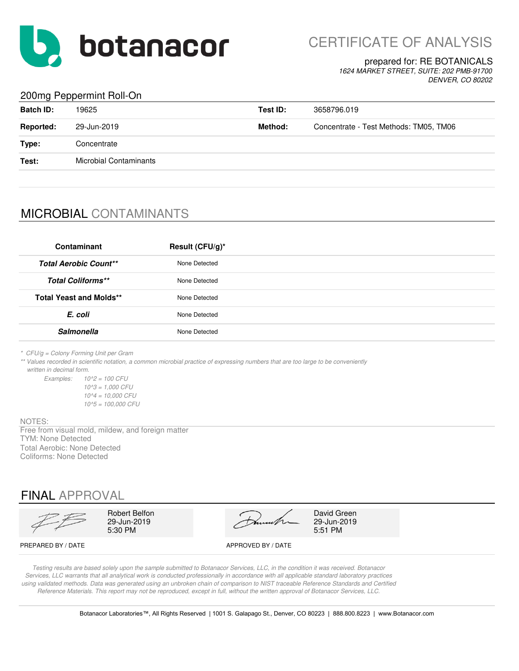

CERTIFICATE OF ANALYSIS

### prepared for: RE BOTANICALS

*1624 MARKET STREET, SUITE: 202 PMB-91700 DENVER, CO 80202*

## 200mg Peppermint Roll-On

| <b>Batch ID:</b> | 19625                         | Test ID: | 3658796.019                            |
|------------------|-------------------------------|----------|----------------------------------------|
| <b>Reported:</b> | 29-Jun-2019                   | Method:  | Concentrate - Test Methods: TM05, TM06 |
| Type:            | Concentrate                   |          |                                        |
| Test:            | <b>Microbial Contaminants</b> |          |                                        |
|                  |                               |          |                                        |

## MICROBIAL CONTAMINANTS

| Contaminant                    | Result (CFU/g)* |
|--------------------------------|-----------------|
| <b>Total Aerobic Count**</b>   | None Detected   |
| <b>Total Coliforms**</b>       | None Detected   |
| <b>Total Yeast and Molds**</b> | None Detected   |
| E. coli                        | None Detected   |
| <b>Salmonella</b>              | None Detected   |
|                                |                 |

*\* CFU/g = Colony Forming Unit per Gram*

*\*\* Values recorded in scientific notation, a common microbial practice of expressing numbers that are too large to be conveniently written in decimal form.*

*Examples: 10^2 = 100 CFU 10^3 = 1,000 CFU 10^4 = 10,000 CFU 10^5 = 100,000 CFU*

### NOTES:

TYM: None Detected Total Aerobic: None Detected Coliforms: None Detected Free from visual mold, mildew, and foreign matter

## FINAL APPROVAL

|  | <b>Robert Belfon</b><br>29-Jun-2019<br>5:30 PM | - Annul | David G<br>29-Jun-2<br>5:51 PM |
|--|------------------------------------------------|---------|--------------------------------|
|  |                                                |         |                                |

David Green 29-Jun-2019<br>5:51 PM

PREPARED BY / DATE APPROVED BY / DATE

*Testing results are based solely upon the sample submitted to Botanacor Services, LLC, in the condition it was received. Botanacor Services, LLC warrants that all analytical work is conducted professionally in accordance with all applicable standard laboratory practices using validated methods. Data was generated using an unbroken chain of comparison to NIST traceable Reference Standards and Certified Reference Materials. This report may not be reproduced, except in full, without the written approval of Botanacor Services, LLC.*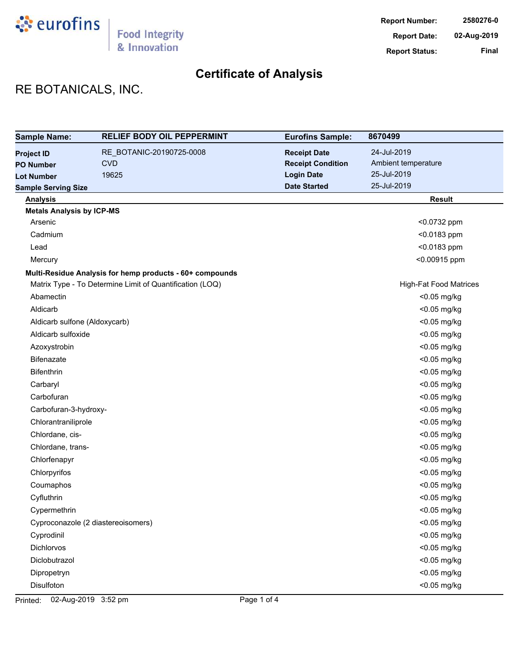

# RE BOTANICALS, INC.

| <b>Sample Name:</b>              | <b>RELIEF BODY OIL PEPPERMINT</b>                        | <b>Eurofins Sample:</b>  | 8670499                       |
|----------------------------------|----------------------------------------------------------|--------------------------|-------------------------------|
| <b>Project ID</b>                | RE_BOTANIC-20190725-0008                                 | <b>Receipt Date</b>      | 24-Jul-2019                   |
| <b>PO Number</b>                 | <b>CVD</b>                                               | <b>Receipt Condition</b> | Ambient temperature           |
| <b>Lot Number</b>                | 19625                                                    | <b>Login Date</b>        | 25-Jul-2019                   |
| <b>Sample Serving Size</b>       |                                                          | <b>Date Started</b>      | 25-Jul-2019                   |
| <b>Analysis</b>                  |                                                          |                          | <b>Result</b>                 |
| <b>Metals Analysis by ICP-MS</b> |                                                          |                          |                               |
| Arsenic                          |                                                          |                          | <0.0732 ppm                   |
| Cadmium                          |                                                          |                          | <0.0183 ppm                   |
| Lead                             |                                                          |                          | <0.0183 ppm                   |
| Mercury                          |                                                          |                          | <0.00915 ppm                  |
|                                  | Multi-Residue Analysis for hemp products - 60+ compounds |                          |                               |
|                                  | Matrix Type - To Determine Limit of Quantification (LOQ) |                          | <b>High-Fat Food Matrices</b> |
| Abamectin                        |                                                          |                          | <0.05 mg/kg                   |
| Aldicarb                         |                                                          |                          | <0.05 mg/kg                   |
| Aldicarb sulfone (Aldoxycarb)    |                                                          |                          | <0.05 mg/kg                   |
| Aldicarb sulfoxide               |                                                          |                          | <0.05 mg/kg                   |
| Azoxystrobin                     |                                                          |                          | <0.05 mg/kg                   |
| Bifenazate                       |                                                          |                          | <0.05 mg/kg                   |
| <b>Bifenthrin</b>                |                                                          |                          | <0.05 mg/kg                   |
| Carbaryl                         |                                                          |                          | <0.05 mg/kg                   |
| Carbofuran                       |                                                          |                          | <0.05 mg/kg                   |
| Carbofuran-3-hydroxy-            |                                                          |                          | <0.05 mg/kg                   |
| Chlorantraniliprole              |                                                          |                          | <0.05 mg/kg                   |
| Chlordane, cis-                  |                                                          |                          | <0.05 mg/kg                   |
| Chlordane, trans-                |                                                          |                          | <0.05 mg/kg                   |
| Chlorfenapyr                     |                                                          |                          | <0.05 mg/kg                   |
| Chlorpyrifos                     |                                                          |                          | <0.05 mg/kg                   |
| Coumaphos                        |                                                          |                          | <0.05 mg/kg                   |
| Cyfluthrin                       |                                                          |                          | <0.05 mg/kg                   |
| Cypermethrin                     |                                                          |                          | <0.05 mg/kg                   |
|                                  | Cyproconazole (2 diastereoisomers)                       |                          | <0.05 mg/kg                   |
| Cyprodinil                       |                                                          |                          | <0.05 mg/kg                   |
| Dichlorvos                       |                                                          |                          | $<$ 0.05 mg/kg                |
| Diclobutrazol                    |                                                          |                          | <0.05 mg/kg                   |
| Dipropetryn                      |                                                          |                          | <0.05 mg/kg                   |
| Disulfoton                       |                                                          |                          | <0.05 mg/kg                   |

Printed: 02-Aug-2019 3:52 pm Page 1 of 4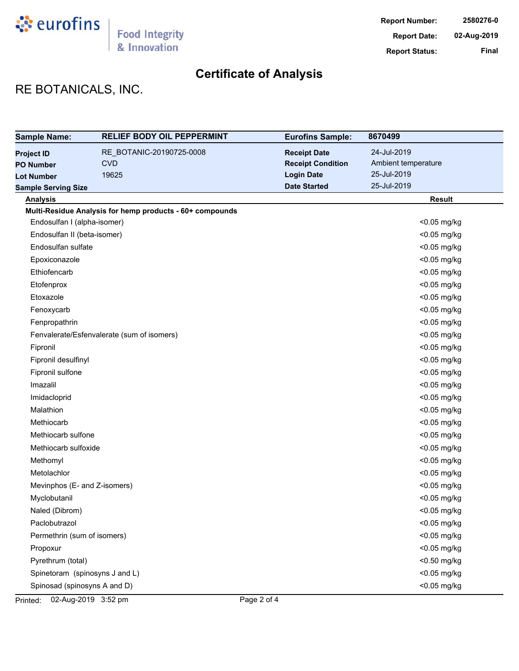

# RE BOTANICALS, INC.

| <b>Sample Name:</b>            | <b>RELIEF BODY OIL PEPPERMINT</b>                        | <b>Eurofins Sample:</b>  | 8670499             |
|--------------------------------|----------------------------------------------------------|--------------------------|---------------------|
| <b>Project ID</b>              | RE_BOTANIC-20190725-0008                                 | <b>Receipt Date</b>      | 24-Jul-2019         |
| <b>PO Number</b>               | <b>CVD</b>                                               | <b>Receipt Condition</b> | Ambient temperature |
| <b>Lot Number</b>              | 19625                                                    | <b>Login Date</b>        | 25-Jul-2019         |
| <b>Sample Serving Size</b>     |                                                          | <b>Date Started</b>      | 25-Jul-2019         |
| <b>Analysis</b>                |                                                          |                          | <b>Result</b>       |
|                                | Multi-Residue Analysis for hemp products - 60+ compounds |                          |                     |
| Endosulfan I (alpha-isomer)    |                                                          |                          | <0.05 mg/kg         |
| Endosulfan II (beta-isomer)    |                                                          |                          | <0.05 mg/kg         |
| Endosulfan sulfate             |                                                          |                          | <0.05 mg/kg         |
| Epoxiconazole                  |                                                          |                          | <0.05 mg/kg         |
| Ethiofencarb                   |                                                          |                          | <0.05 mg/kg         |
| Etofenprox                     |                                                          |                          | <0.05 mg/kg         |
| Etoxazole                      |                                                          |                          | <0.05 mg/kg         |
| Fenoxycarb                     |                                                          |                          | <0.05 mg/kg         |
| Fenpropathrin                  |                                                          |                          | <0.05 mg/kg         |
|                                | Fenvalerate/Esfenvalerate (sum of isomers)               |                          | <0.05 mg/kg         |
| Fipronil                       |                                                          |                          | <0.05 mg/kg         |
| Fipronil desulfinyl            |                                                          |                          | <0.05 mg/kg         |
| Fipronil sulfone               |                                                          |                          | <0.05 mg/kg         |
| Imazalil                       |                                                          |                          | <0.05 mg/kg         |
| Imidacloprid                   |                                                          |                          | <0.05 mg/kg         |
| Malathion                      |                                                          |                          | <0.05 mg/kg         |
| Methiocarb                     |                                                          |                          | <0.05 mg/kg         |
| Methiocarb sulfone             |                                                          |                          | <0.05 mg/kg         |
| Methiocarb sulfoxide           |                                                          |                          | <0.05 mg/kg         |
| Methomyl                       |                                                          |                          | <0.05 mg/kg         |
| Metolachlor                    |                                                          |                          | <0.05 mg/kg         |
| Mevinphos (E- and Z-isomers)   |                                                          |                          | <0.05 mg/kg         |
| Myclobutanil                   |                                                          |                          | <0.05 mg/kg         |
| Naled (Dibrom)                 |                                                          |                          | <0.05 mg/kg         |
| Paclobutrazol                  |                                                          |                          | <0.05 mg/kg         |
| Permethrin (sum of isomers)    |                                                          |                          | <0.05 mg/kg         |
| Propoxur                       |                                                          |                          | <0.05 mg/kg         |
| Pyrethrum (total)              |                                                          |                          | <0.50 mg/kg         |
| Spinetoram (spinosyns J and L) |                                                          |                          | <0.05 mg/kg         |
| Spinosad (spinosyns A and D)   |                                                          |                          | <0.05 mg/kg         |

Printed: 02-Aug-2019 3:52 pm Page 2 of 4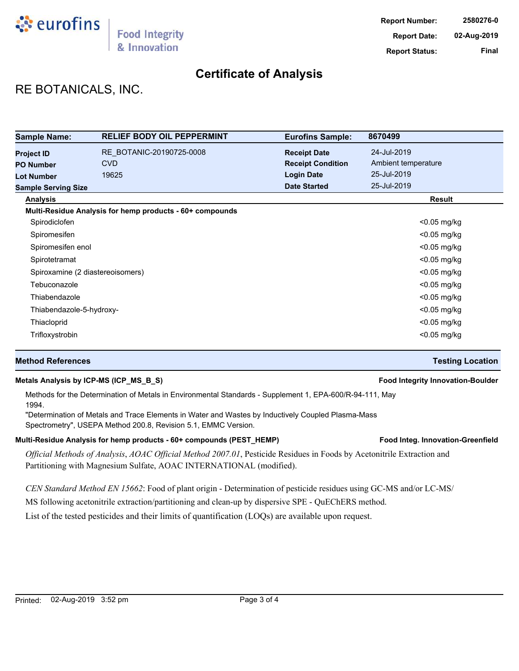

## RE BOTANICALS, INC.

| <b>Sample Name:</b>                   | <b>RELIEF BODY OIL PEPPERMINT</b>                        | <b>Eurofins Sample:</b>                         | 8670499                            |
|---------------------------------------|----------------------------------------------------------|-------------------------------------------------|------------------------------------|
| <b>Project ID</b><br><b>PO Number</b> | RE BOTANIC-20190725-0008<br><b>CVD</b>                   | <b>Receipt Date</b><br><b>Receipt Condition</b> | 24-Jul-2019<br>Ambient temperature |
| <b>Lot Number</b>                     | 19625                                                    | <b>Login Date</b>                               | 25-Jul-2019                        |
| <b>Sample Serving Size</b>            |                                                          | <b>Date Started</b>                             | 25-Jul-2019                        |
| <b>Analysis</b>                       |                                                          |                                                 | Result                             |
|                                       | Multi-Residue Analysis for hemp products - 60+ compounds |                                                 |                                    |
| Spirodiclofen                         |                                                          |                                                 | $<$ 0.05 mg/kg                     |
| Spiromesifen                          |                                                          |                                                 | $<$ 0.05 mg/kg                     |
| Spiromesifen enol                     |                                                          |                                                 | $<$ 0.05 mg/kg                     |
| Spirotetramat                         |                                                          |                                                 | $<$ 0.05 mg/kg                     |
| Spiroxamine (2 diastereoisomers)      |                                                          |                                                 | $<$ 0.05 mg/kg                     |
| Tebuconazole                          |                                                          |                                                 | $<$ 0.05 mg/kg                     |
| Thiabendazole                         |                                                          |                                                 | $<$ 0.05 mg/kg                     |
| Thiabendazole-5-hydroxy-              |                                                          |                                                 | $<$ 0.05 mg/kg                     |
| Thiacloprid                           |                                                          |                                                 | <0.05 mg/kg                        |
| Trifloxystrobin                       |                                                          |                                                 | <0.05 mg/kg                        |

## **Method References Testing Location**

## **Metals Analysis by ICP-MS (ICP\_MS\_B\_S) Food Integrity Innovation-Boulder**

Methods for the Determination of Metals in Environmental Standards - Supplement 1, EPA-600/R-94-111, May 1994.

"Determination of Metals and Trace Elements in Water and Wastes by Inductively Coupled Plasma-Mass Spectrometry", USEPA Method 200.8, Revision 5.1, EMMC Version.

## Multi-Residue Analysis for hemp products - 60+ compounds (PEST\_HEMP) **Food Integ. Innovation-Greenfield**

*Official Methods of Analysis*, *AOAC Official Method 2007.01*, Pesticide Residues in Foods by Acetonitrile Extraction and Partitioning with Magnesium Sulfate, AOAC INTERNATIONAL (modified).

*CEN Standard Method EN 15662*: Food of plant origin - Determination of pesticide residues using GC-MS and/or LC-MS/

MS following acetonitrile extraction/partitioning and clean-up by dispersive SPE - QuEChERS method.

List of the tested pesticides and their limits of quantification (LOQs) are available upon request.